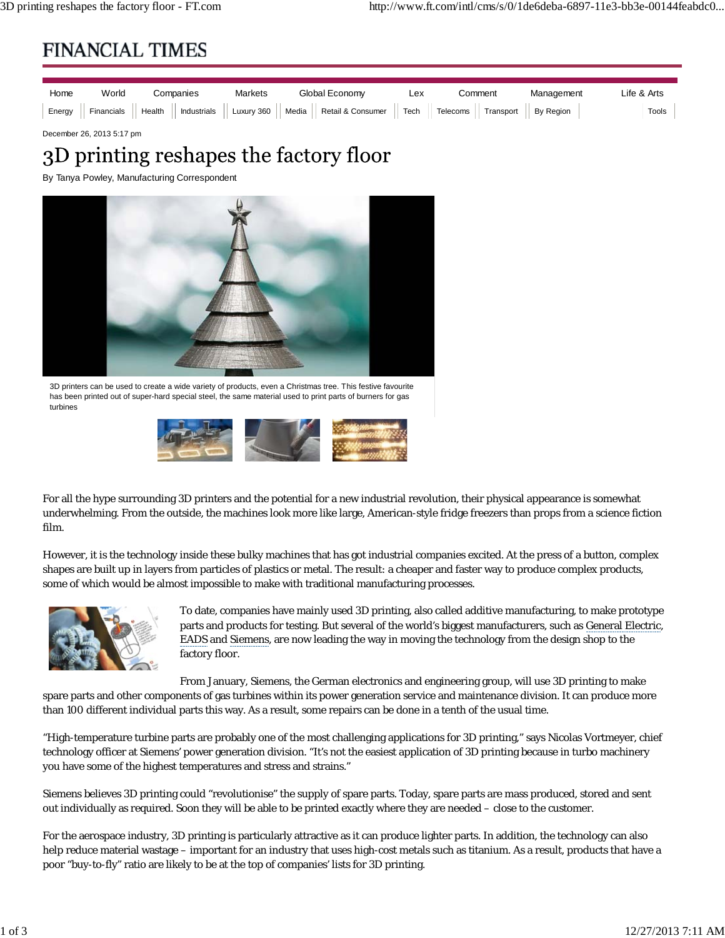## **FINANCIAL TIMES**



December 26, 2013 5:17 pm

## 3D printing reshapes the factory floor

By Tanya Powley, Manufacturing Correspondent



3D printers can be used to create a wide variety of products, even a Christmas tree. This festive favourite has been printed out of super-hard special steel, the same material used to print parts of burners for gas turbines



For all the hype surrounding 3D printers and the potential for a new industrial revolution, their physical appearance is somewhat underwhelming. From the outside, the machines look more like large, American-style fridge freezers than props from a science fiction film.

However, it is the technology inside these bulky machines that has got industrial companies excited. At the press of a button, complex shapes are built up in layers from particles of plastics or metal. The result: a cheaper and faster way to produce complex products, some of which would be almost impossible to make with traditional manufacturing processes.



To date, companies have mainly used 3D printing, also called additive manufacturing, to make prototype parts and products for testing. But several of the world's biggest manufacturers, such as General Electric, EADS and Siemens, are now leading the way in moving the technology from the design shop to the factory floor.

From January, Siemens, the German electronics and engineering group, will use 3D printing to make spare parts and other components of gas turbines within its power generation service and maintenance division. It can produce more than 100 different individual parts this way. As a result, some repairs can be done in a tenth of the usual time.

"High-temperature turbine parts are probably one of the most challenging applications for 3D printing," says Nicolas Vortmeyer, chief technology officer at Siemens' power generation division. "It's not the easiest application of 3D printing because in turbo machinery you have some of the highest temperatures and stress and strains."

Siemens believes 3D printing could "revolutionise" the supply of spare parts. Today, spare parts are mass produced, stored and sent out individually as required. Soon they will be able to be printed exactly where they are needed – close to the customer.

For the aerospace industry, 3D printing is particularly attractive as it can produce lighter parts. In addition, the technology can also help reduce material wastage – important for an industry that uses high-cost metals such as titanium. As a result, products that have a poor "buy-to-fly" ratio are likely to be at the top of companies' lists for 3D printing.